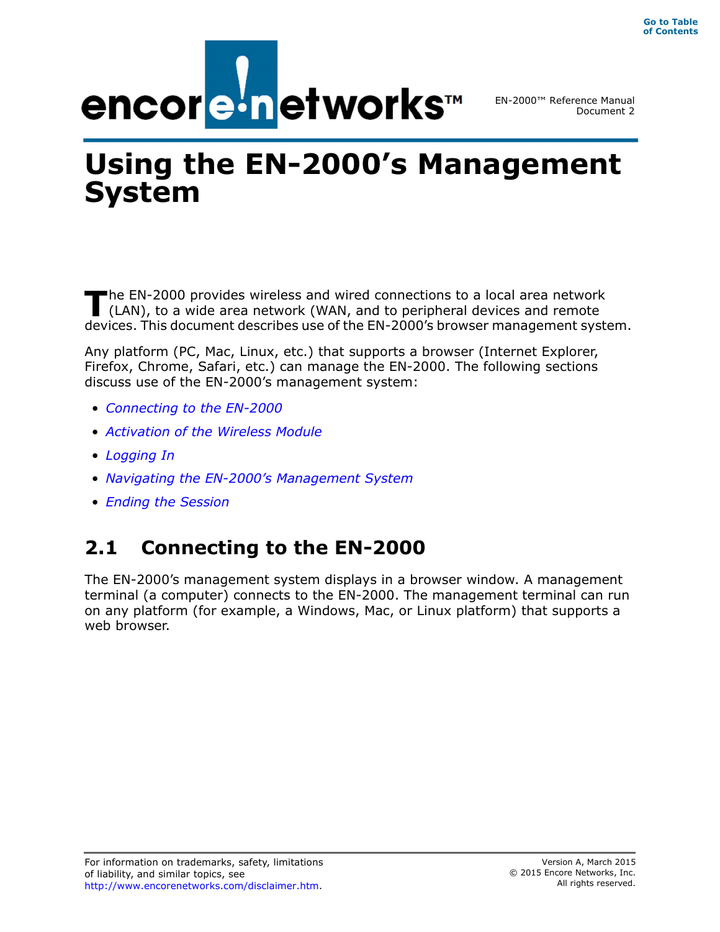

EN-2000™ Reference Manual Document 2

# **Using the EN-2000's Management System**

he EN-2000 provides wireless and wired connections to a local area network (LAN), to a wide area network (WAN, and to peripheral devices and remote devices. This document describes use of the EN-2000's browser management system. **T**

Any platform (PC, Mac, Linux, etc.) that supports a browser (Internet Explorer, Firefox, Chrome, Safari, etc.) can manage the EN-2000. The following sections discuss use of the EN-2000's management system:

- *Connecting to the EN-2000*
- *Activation of the Wireless Module*
- *Logging In*
- *Navigating the EN-2000's Management System*
- *Ending the Session*

## **2.1 Connecting to the EN-2000**

The EN-2000's management system displays in a browser window. A management terminal (a computer) connects to the EN-2000. The management terminal can run on any platform (for example, a Windows, Mac, or Linux platform) that supports a web browser.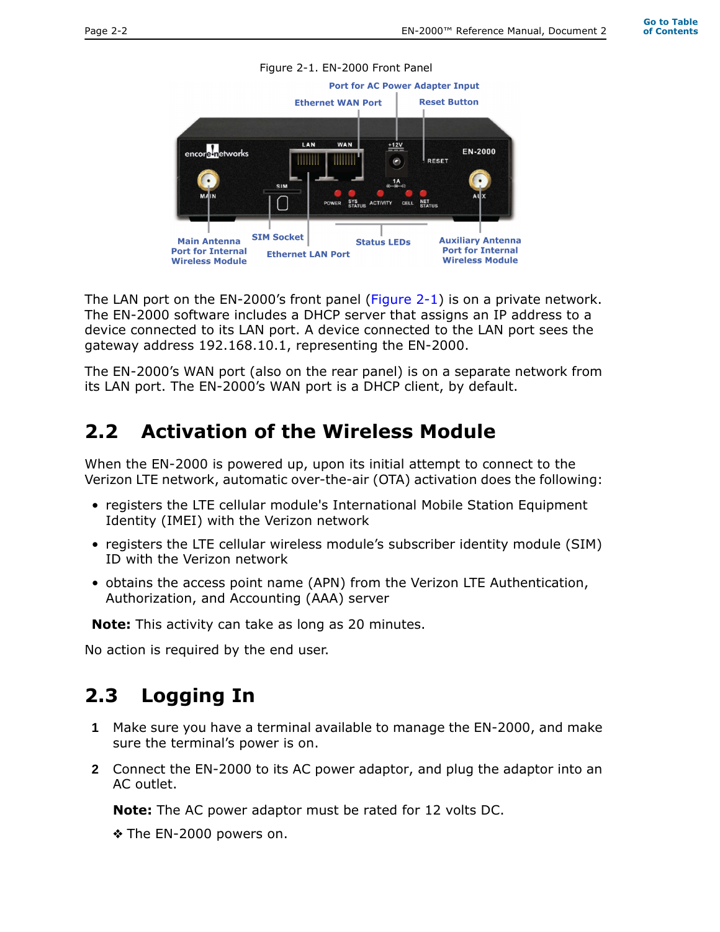

The LAN port on the EN-2000's front panel (Figure 2-1) is on a private network. The EN-2000 software includes a DHCP server that assigns an IP address to a device connected to its LAN port. A device connected to the LAN port sees the gateway address 192.168.10.1, representing the EN-2000.

The EN-2000's WAN port (also on the rear panel) is on a separate network from its LAN port. The EN-2000's WAN port is a DHCP client, by default.

#### **2.2 Activation of the Wireless Module**

When the EN-2000 is powered up, upon its initial attempt to connect to the Verizon LTE network, automatic over-the-air (OTA) activation does the following:

- registers the LTE cellular module's International Mobile Station Equipment Identity (IMEI) with the Verizon network
- registers the LTE cellular wireless module's subscriber identity module (SIM) ID with the Verizon network
- obtains the access point name (APN) from the Verizon LTE Authentication, Authorization, and Accounting (AAA) server

**Note:** This activity can take as long as 20 minutes.

No action is required by the end user.

### **2.3 Logging In**

- **1** Make sure you have a terminal available to manage the EN-2000, and make sure the terminal's power is on.
- **2** Connect the EN-2000 to its AC power adaptor, and plug the adaptor into an AC outlet.

**Note:** The AC power adaptor must be rated for 12 volts DC.

❖ The EN-2000 powers on.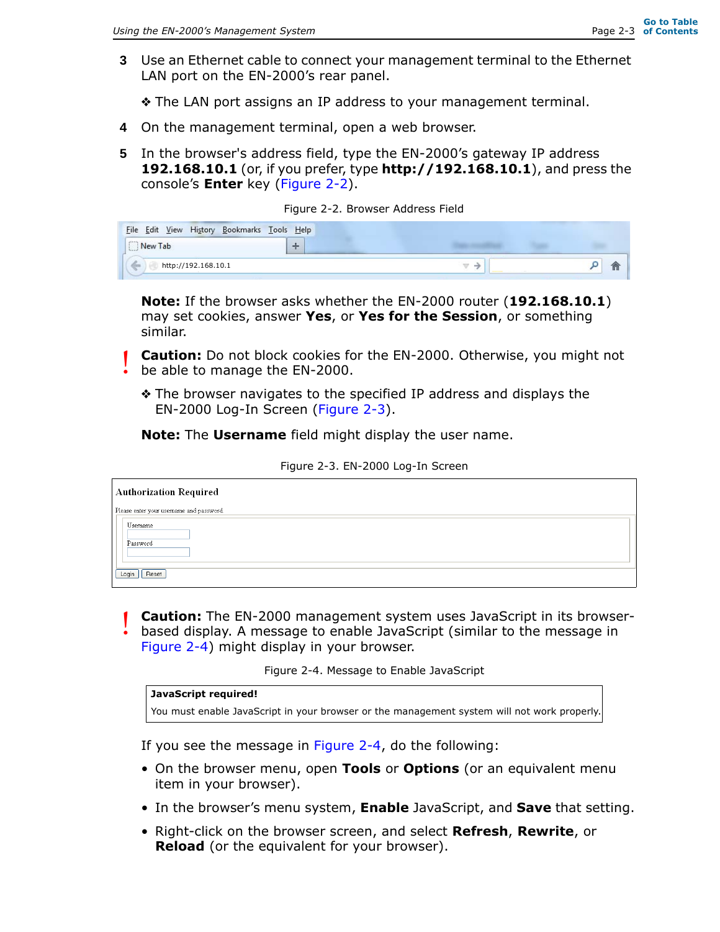**3** Use an Ethernet cable to connect your management terminal to the Ethernet LAN port on the EN-2000's rear panel.

❖ The LAN port assigns an IP address to your management terminal.

- **4** On the management terminal, open a web browser.
- **5** In the browser's address field, type the EN-2000's gateway IP address **192.168.10.1** (or, if you prefer, type **http://192.168.10.1**), and press the console's **Enter** key (Figure 2-2).

|  | Figure 2-2. Browser Address Field |  |
|--|-----------------------------------|--|
|  |                                   |  |

**Note:** If the browser asks whether the EN-2000 router (**192.168.10.1**) may set cookies, answer **Yes**, or **Yes for the Session**, or something similar.

- **Caution:** Do not block cookies for the EN-2000. Otherwise, you might not be able to manage the EN-2000. !<br>!
	- ❖ The browser navigates to the specified IP address and displays the EN-2000 Log-In Screen (Figure 2-3).

**Note:** The **Username** field might display the user name.

| <b>Authorization Required</b>            |  |
|------------------------------------------|--|
| Please enter your username and password. |  |
| Username<br>Password                     |  |
|                                          |  |
| Login<br>Reset                           |  |

Figure 2-3. EN-2000 Log-In Screen

**Caution:** The EN-2000 management system uses JavaScript in its browserbased display. A message to enable JavaScript (similar to the message in !<br>!

Figure 2-4) might display in your browser.

Figure 2-4. Message to Enable JavaScript

| JavaScript required!                                                                        |  |
|---------------------------------------------------------------------------------------------|--|
| You must enable JavaScript in your browser or the management system will not work properly. |  |

If you see the message in Figure 2-4, do the following:

- On the browser menu, open **Tools** or **Options** (or an equivalent menu item in your browser).
- In the browser's menu system, **Enable** JavaScript, and **Save** that setting.
- Right-click on the browser screen, and select **Refresh**, **Rewrite**, or **Reload** (or the equivalent for your browser).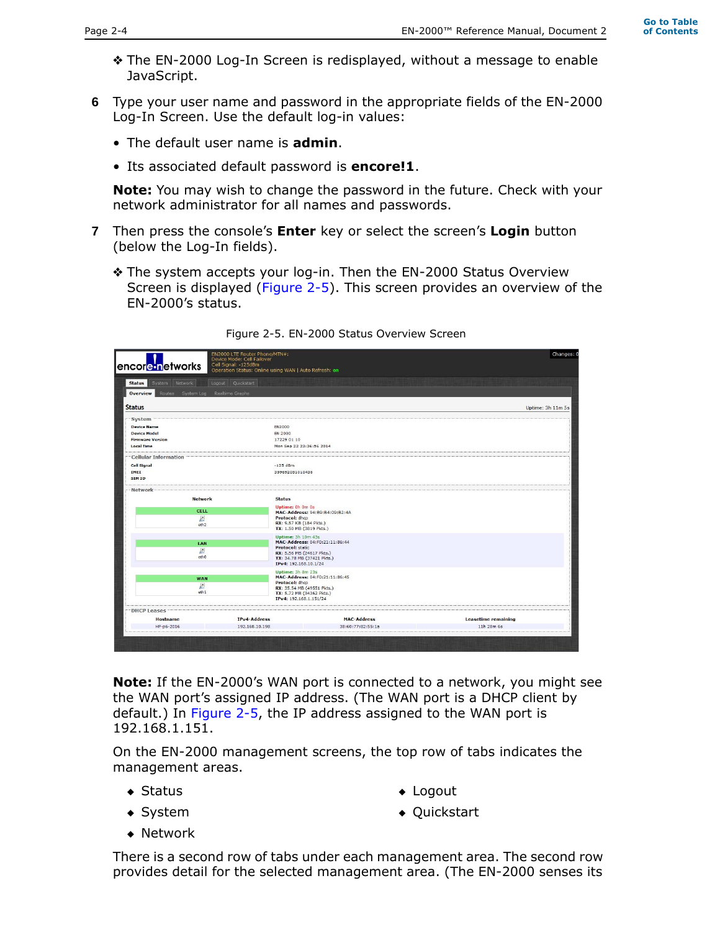- ❖ The EN-2000 Log-In Screen is redisplayed, without a message to enable JavaScript.
- **6** Type your user name and password in the appropriate fields of the EN-2000 Log-In Screen. Use the default log-in values:
	- The default user name is **admin**.
	- Its associated default password is **encore!1**.

**Note:** You may wish to change the password in the future. Check with your network administrator for all names and passwords.

- **7** Then press the console's **Enter** key or select the screen's **Login** button (below the Log-In fields).
	- ❖ The system accepts your log-in. Then the EN-2000 Status Overview Screen is displayed (Figure 2-5). This screen provides an overview of the EN-2000's status.

| System Network<br><b>Status</b>               | Quickstart<br>Logout |                                                      |                    |                            |  |
|-----------------------------------------------|----------------------|------------------------------------------------------|--------------------|----------------------------|--|
| Overview<br>Routes System Log Realtime Graphs |                      |                                                      |                    |                            |  |
| <b>Status</b>                                 |                      |                                                      |                    | Uptime: 3h 11m 5s          |  |
| <b>System</b>                                 |                      |                                                      |                    |                            |  |
| <b>Device Name</b>                            |                      | <b>EN2000</b>                                        |                    |                            |  |
| <b>Device Model</b>                           |                      | <b>EN 2000</b>                                       |                    |                            |  |
| <b>Firmware Version</b>                       |                      | 17229 01 10                                          |                    |                            |  |
| <b>Local Time</b>                             |                      | Mon Sep 22 23:36:56 2014                             |                    |                            |  |
| <b>Cellular Information</b>                   |                      |                                                      |                    |                            |  |
| <b>Cell Signal</b>                            |                      | $-125$ dBm                                           |                    |                            |  |
| IMEI                                          |                      | 359692051010438                                      |                    |                            |  |
| <b>SIMID</b>                                  |                      |                                                      |                    |                            |  |
| Network                                       |                      |                                                      |                    |                            |  |
| <b>Network</b>                                |                      | <b>Status</b>                                        |                    |                            |  |
|                                               |                      | Uptime: 0h 0m 0s                                     |                    |                            |  |
| <b>CELL</b>                                   |                      | MAC-Address: 94:B9:B4:09:B2:4A                       |                    |                            |  |
| Ŀ.                                            |                      | Protocol: dhcp                                       |                    |                            |  |
| eth <sub>2</sub>                              |                      | RX: 9.57 KB (184 Pkts.)<br>TX: 1.50 MB (3819 Pkts.)  |                    |                            |  |
|                                               |                      | <b>Uptime: 3h 10m 43s</b>                            |                    |                            |  |
| LAN                                           |                      | MAC-Address: 04:F0:21:11:86:44                       |                    |                            |  |
| Σ                                             |                      | <b>Protocol: static</b><br>RX: 5.56 MB (24617 Pkts.) |                    |                            |  |
| etho                                          |                      | TX: 34.78 MB (37421 Pkts.)                           |                    |                            |  |
|                                               |                      | IPv4: 192.168.10.1/24                                |                    |                            |  |
|                                               |                      | <b>Uptime: 3h 8m 23s</b>                             |                    |                            |  |
| <b>WAN</b>                                    |                      | MAC-Address: 04:F0:21:11:86:45<br>Protocol: dhcp     |                    |                            |  |
| Ł.                                            |                      | RX: 35.54 MB (49551 Pkts.)                           |                    |                            |  |
| eth <sub>1</sub>                              |                      | TX: 5.72 MB (34362 Pkts.)                            |                    |                            |  |
|                                               |                      | IPv4: 192.168.1.151/24                               |                    |                            |  |
| <b>DHCP Leases</b>                            |                      |                                                      |                    |                            |  |
| <b>Hostname</b>                               | <b>IPv4-Address</b>  |                                                      | <b>MAC-Address</b> | <b>Leasetime remaining</b> |  |
| HP-p6-2016                                    | 192.168.10.198       |                                                      | 38:60:77:82:55:1a  | 11h 28m 6s                 |  |

Figure 2-5. EN-2000 Status Overview Screen

**Note:** If the EN-2000's WAN port is connected to a network, you might see the WAN port's assigned IP address. (The WAN port is a DHCP client by default.) In Figure 2-5, the IP address assigned to the WAN port is 192.168.1.151.

On the EN-2000 management screens, the top row of tabs indicates the management areas.

◆ Status

◆ Logout

◆ System

◆ Quickstart

◆ Network

There is a second row of tabs under each management area. The second row provides detail for the selected management area. (The EN-2000 senses its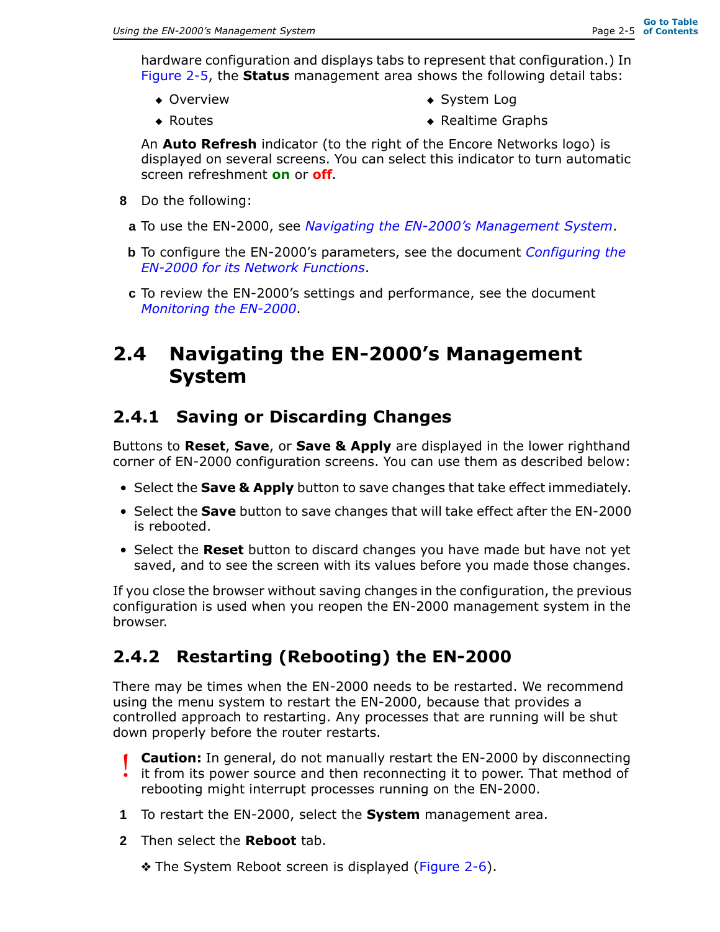hardware configuration and displays tabs to represent that configuration.) In Figure 2-5, the **Status** management area shows the following detail tabs:

◆ Overview

◆ System Log

◆ Routes

◆ Realtime Graphs

An **Auto Refresh** indicator (to the right of the Encore Networks logo) is displayed on several screens. You can select this indicator to turn automatic screen refreshment **on** or **off**.

- **8** Do the following:
- **a** To use the EN-2000, see *Navigating the EN-2000's Management System*.
- **b** To configure the EN-2000's parameters, see the document *Configuring the EN-2000 for its Network Functions*.
- **c** To review the EN-2000's settings and performance, see the document *Monitoring the EN-2000*.

#### **2.4 Navigating the EN-2000's Management System**

#### **2.4.1 Saving or Discarding Changes**

Buttons to **Reset**, **Save**, or **Save & Apply** are displayed in the lower righthand corner of EN-2000 configuration screens. You can use them as described below:

- Select the **Save & Apply** button to save changes that take effect immediately.
- Select the **Save** button to save changes that will take effect after the EN-2000 is rebooted.
- Select the **Reset** button to discard changes you have made but have not yet saved, and to see the screen with its values before you made those changes.

If you close the browser without saving changes in the configuration, the previous configuration is used when you reopen the EN-2000 management system in the browser.

#### **2.4.2 Restarting (Rebooting) the EN-2000**

There may be times when the EN-2000 needs to be restarted. We recommend using the menu system to restart the EN-2000, because that provides a controlled approach to restarting. Any processes that are running will be shut down properly before the router restarts.

- **Caution:** In general, do not manually restart the EN-2000 by disconnecting it from its power source and then reconnecting it to power. That method of rebooting might interrupt processes running on the EN-2000. !<br>!
- **1** To restart the EN-2000, select the **System** management area.
- **2** Then select the **Reboot** tab.
	- ❖ The System Reboot screen is displayed (Figure 2-6).